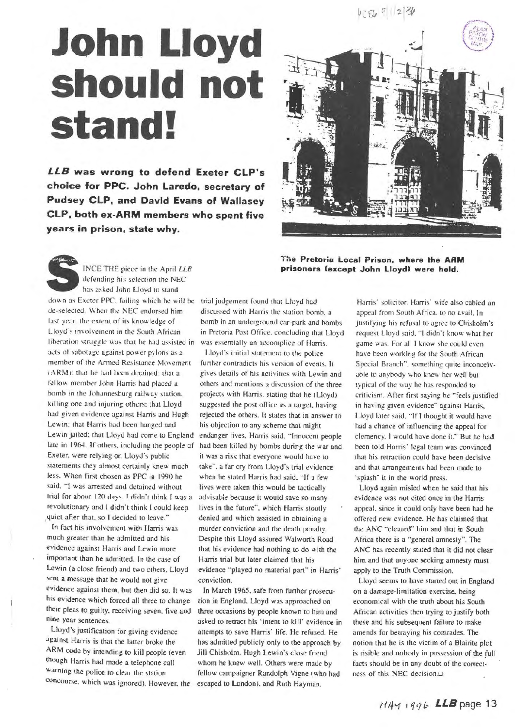## **John Lloyd** should not stand!

LLB was wrong to defend Exeter CLP's choice for PPC. John Laredo, secretary of Pudsey CLP, and David Evans of Wallasey CLP, both ex-ARM members who spent five years in prison, state why.



The Pretoria Local Prison, where the ARM prisoners (except John Lloyd) were held.

INCE THE piece in the April LLB defending his selection the NEC has asked John Lloyd to stand down as Exeter PPC, failing which he will be trial judgement found that Lloyd had de-selected. When the NEC endorsed him last year, the extent of its knowledge of Lloyd's involvement in the South African liberation struggle was that he had assisted in was essentially an accomplice of Harris. acts of sabotage against power pylons as a member of the Armed Resistance Movement (ARM); that he had been detained; that a fellow member John Harris had placed a bomb in the Johannesburg railway station. killing one and injuring others; that Lloyd had given evidence against Harris and Hugh Lewin; that Harris had been hanged and Lewin jailed; that Lloyd had come to England late in 1964. If others, including the people of Exeter, were relying on Lloyd's public statements they almost certainly knew much less. When first chosen as PPC in 1990 he said. "I was arrested and detained without trial for about 120 days. I didn't think I was a revolutionary and I didn't think I could keep quiet after that, so I decided to leave."

In fact his involvement with Harris was much greater than he admitted and his evidence against Harris and Lewin more important than he admitted. In the case of Lewin (a close friend) and two others. Lloyd sent a message that he would not give evidence against them, but then did so. It was his evidence which forced all three to change their pleas to guilty, receiving seven, five and nine year sentences.

Lloyd's justification for giving evidence against Harris is that the latter broke the ARM code by intending to kill people (even though Harris had made a telephone call warning the police to clear the station concourse, which was ignored). However, the discussed with Harris the station bomb. a bomb in an underground car-park and bombs in Pretoria Post Office, concluding that Lloyd

Lloyd's initial statement to the police further contradicts his version of events. It gives details of his activities with Lewin and others and mentions a discussion of the three projects with Harris, stating that he (Lloyd) suggested the post office as a target, having rejected the others. It states that in answer to his objection to any scheme that might endanger lives, Harris said, "Innocent people had been killed by bombs during the war and it was a risk that everyone would have to take", a far cry from Lloyd's trial evidence when he stated Harris had said. "If a few lives were taken this would be tactically advisable because it would save so many lives in the future", which Harris stoutly denied and which assisted in obtaining a murder conviction and the death penalty. Despite this Lloyd assured Walworth Road that his evidence had nothing to do with the Harris trial but later claimed that his evidence "played no material part" in Harris' conviction.

In March 1965, safe from further prosecution in England. Lloyd was approached on three occasions by people known to him and asked to retract his 'intent to kill' evidence in attempts to save Harris' life. He refused. He has admitted publicly only to the approach by Jill Chisholm, Hugh Lewin's close friend whom he knew well. Others were made by fellow campaigner Randolph Vigne (who had escaped to London), and Ruth Hayman,

Harris' solicitor. Harris' wife also cabled an appeal from South Africa, to no avail. In justifying his refusal to agree to Chisholm's request Lloyd said. "I didn't know what her game was. For all I know she could even have been working for the South African Special Branch", something quite inconceivable to anybody who knew her well but typical of the way he has responded to criticism. After first saying he "feels justified in having given evidence" against Harris, Lloyd later said. "If I thought it would have had a chance of influencing the appeal for clemency. I would have done it." But he had been told Harris' legal team was convinced that his retraction could have heen decisive and that arrangements had been made to 'splash' it in the world press.

Lloyd again misled when he said that his evidence was not cited once in the Harris appeal, since it could only have been had he offered new evidence. He has claimed that the ANC "cleared" him and that in South Africa there is a "general amnesty". The ANC has recently stated that it did not clear him and that anyone seeking amnesty must apply to the Truth Commission.

Lloyd seems to have started out in England on a damage-limitation exercise, being economical with the truth about his South African activities then trying to justify both these and his subsequent failure to make amends for betraying his comrades. The notion that he is the victim of a Blairite plot is risible and nobody in possession of the full facts should be in any doubt of the correctness of this NEC decision.<sup>[2]</sup>